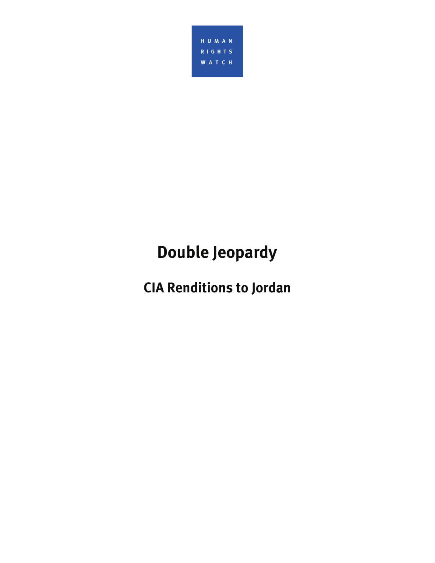

# **Double Jeopardy**

**CIA Renditions to Jordan**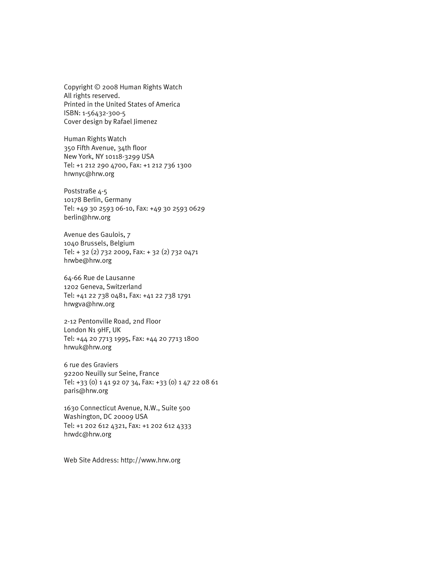Copyright © 2008 Human Rights Watch All rights reserved. Printed in the United States of America ISBN: 1-56432-300-5 Cover design by Rafael Jimenez

Human Rights Watch 350 Fifth Avenue, 34th floor New York, NY 10118-3299 USA Tel: +1 212 290 4700, Fax: +1 212 736 1300 hrwnyc@hrw.org

Poststraße 4-5 10178 Berlin, Germany Tel: +49 30 2593 06-10, Fax: +49 30 2593 0629 berlin@hrw.org

Avenue des Gaulois, 7 1040 Brussels, Belgium Tel: + 32 (2) 732 2009, Fax: + 32 (2) 732 0471 hrwbe@hrw.org

64-66 Rue de Lausanne 1202 Geneva, Switzerland Tel: +41 22 738 0481, Fax: +41 22 738 1791 hrwgva@hrw.org

2-12 Pentonville Road, 2nd Floor London N1 9HF, UK Tel: +44 20 7713 1995, Fax: +44 20 7713 1800 hrwuk@hrw.org

6 rue des Graviers 92200 Neuilly sur Seine, France Tel: +33 (0) 1 41 92 07 34, Fax: +33 (0) 1 47 22 08 61 paris@hrw.org

1630 Connecticut Avenue, N.W., Suite 500 Washington, DC 20009 USA Tel: +1 202 612 4321, Fax: +1 202 612 4333 hrwdc@hrw.org

Web Site Address: http://www.hrw.org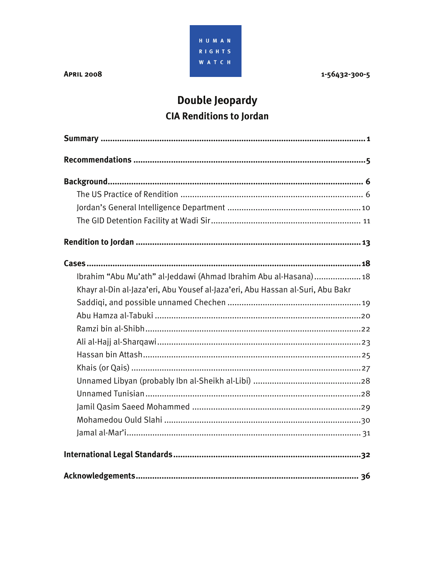

**APRIL 2008** 

1-56432-300-5

# Double Jeopardy **CIA Renditions to Jordan**

| Ibrahim "Abu Mu'ath" al-Jeddawi (Ahmad Ibrahim Abu al-Hasana) 18               |
|--------------------------------------------------------------------------------|
| Khayr al-Din al-Jaza'eri, Abu Yousef al-Jaza'eri, Abu Hassan al-Suri, Abu Bakr |
|                                                                                |
|                                                                                |
|                                                                                |
|                                                                                |
|                                                                                |
|                                                                                |
|                                                                                |
|                                                                                |
|                                                                                |
|                                                                                |
|                                                                                |
|                                                                                |
|                                                                                |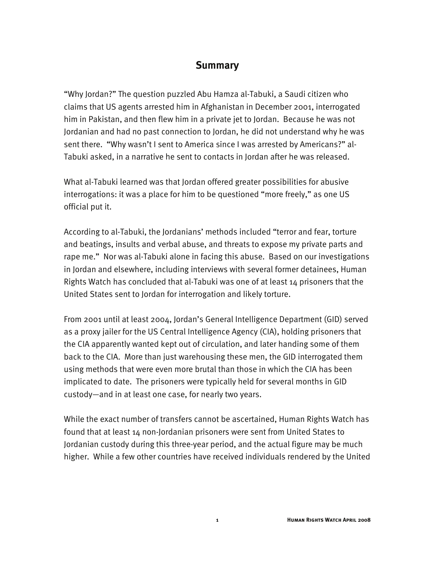## **Summary**

"Why Jordan?" The question puzzled Abu Hamza al-Tabuki, a Saudi citizen who claims that US agents arrested him in Afghanistan in December 2001, interrogated him in Pakistan, and then flew him in a private jet to Jordan. Because he was not Jordanian and had no past connection to Jordan, he did not understand why he was sent there. "Why wasn't I sent to America since I was arrested by Americans?" al-Tabuki asked, in a narrative he sent to contacts in Jordan after he was released.

What al-Tabuki learned was that Jordan offered greater possibilities for abusive interrogations: it was a place for him to be questioned "more freely," as one US official put it.

According to al-Tabuki, the Jordanians' methods included "terror and fear, torture and beatings, insults and verbal abuse, and threats to expose my private parts and rape me." Nor was al-Tabuki alone in facing this abuse. Based on our investigations in Jordan and elsewhere, including interviews with several former detainees, Human Rights Watch has concluded that al-Tabuki was one of at least 14 prisoners that the United States sent to Jordan for interrogation and likely torture.

From 2001 until at least 2004, Jordan's General Intelligence Department (GID) served as a proxy jailer for the US Central Intelligence Agency (CIA), holding prisoners that the CIA apparently wanted kept out of circulation, and later handing some of them back to the CIA. More than just warehousing these men, the GID interrogated them using methods that were even more brutal than those in which the CIA has been implicated to date. The prisoners were typically held for several months in GID custody—and in at least one case, for nearly two years.

While the exact number of transfers cannot be ascertained, Human Rights Watch has found that at least 14 non-Jordanian prisoners were sent from United States to Jordanian custody during this three-year period, and the actual figure may be much higher. While a few other countries have received individuals rendered by the United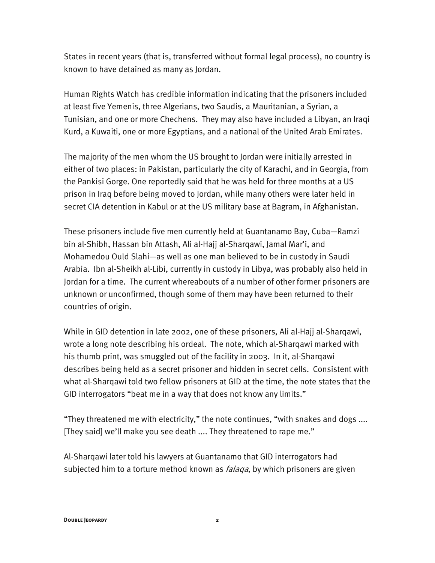States in recent years (that is, transferred without formal legal process), no country is known to have detained as many as Jordan.

Human Rights Watch has credible information indicating that the prisoners included at least five Yemenis, three Algerians, two Saudis, a Mauritanian, a Syrian, a Tunisian, and one or more Chechens. They may also have included a Libyan, an Iraqi Kurd, a Kuwaiti, one or more Egyptians, and a national of the United Arab Emirates.

The majority of the men whom the US brought to Jordan were initially arrested in either of two places: in Pakistan, particularly the city of Karachi, and in Georgia, from the Pankisi Gorge. One reportedly said that he was held for three months at a US prison in Iraq before being moved to Jordan, while many others were later held in secret CIA detention in Kabul or at the US military base at Bagram, in Afghanistan.

These prisoners include five men currently held at Guantanamo Bay, Cuba—Ramzi bin al-Shibh, Hassan bin Attash, Ali al-Hajj al-Sharqawi, Jamal Mar'i, and Mohamedou Ould Slahi—as well as one man believed to be in custody in Saudi Arabia. Ibn al-Sheikh al-Libi, currently in custody in Libya, was probably also held in Jordan for a time. The current whereabouts of a number of other former prisoners are unknown or unconfirmed, though some of them may have been returned to their countries of origin.

While in GID detention in late 2002, one of these prisoners, Ali al-Hajj al-Sharqawi, wrote a long note describing his ordeal. The note, which al-Sharqawi marked with his thumb print, was smuggled out of the facility in 2003. In it, al-Sharqawi describes being held as a secret prisoner and hidden in secret cells. Consistent with what al-Sharqawi told two fellow prisoners at GID at the time, the note states that the GID interrogators "beat me in a way that does not know any limits."

"They threatened me with electricity," the note continues, "with snakes and dogs .... [They said] we'll make you see death .... They threatened to rape me."

Al-Sharqawi later told his lawyers at Guantanamo that GID interrogators had subjected him to a torture method known as *falaqa*, by which prisoners are given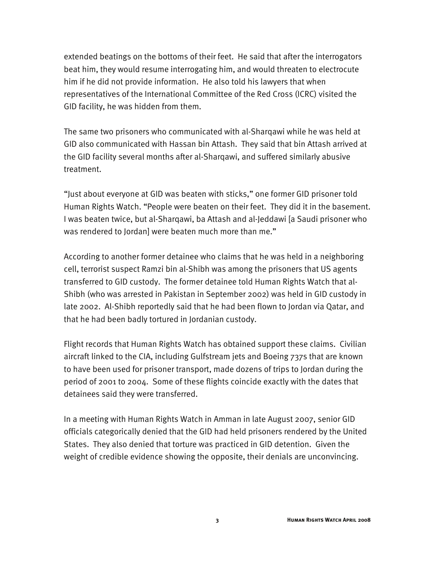extended beatings on the bottoms of their feet. He said that after the interrogators beat him, they would resume interrogating him, and would threaten to electrocute him if he did not provide information. He also told his lawyers that when representatives of the International Committee of the Red Cross (ICRC) visited the GID facility, he was hidden from them.

The same two prisoners who communicated with al-Sharqawi while he was held at GID also communicated with Hassan bin Attash. They said that bin Attash arrived at the GID facility several months after al-Sharqawi, and suffered similarly abusive treatment.

"Just about everyone at GID was beaten with sticks," one former GID prisoner told Human Rights Watch. "People were beaten on their feet. They did it in the basement. I was beaten twice, but al-Sharqawi, ba Attash and al-Jeddawi [a Saudi prisoner who was rendered to Jordan] were beaten much more than me."

According to another former detainee who claims that he was held in a neighboring cell, terrorist suspect Ramzi bin al-Shibh was among the prisoners that US agents transferred to GID custody. The former detainee told Human Rights Watch that al-Shibh (who was arrested in Pakistan in September 2002) was held in GID custody in late 2002. Al-Shibh reportedly said that he had been flown to Jordan via Qatar, and that he had been badly tortured in Jordanian custody.

Flight records that Human Rights Watch has obtained support these claims. Civilian aircraft linked to the CIA, including Gulfstream jets and Boeing 737s that are known to have been used for prisoner transport, made dozens of trips to Jordan during the period of 2001 to 2004. Some of these flights coincide exactly with the dates that detainees said they were transferred.

In a meeting with Human Rights Watch in Amman in late August 2007, senior GID officials categorically denied that the GID had held prisoners rendered by the United States. They also denied that torture was practiced in GID detention. Given the weight of credible evidence showing the opposite, their denials are unconvincing.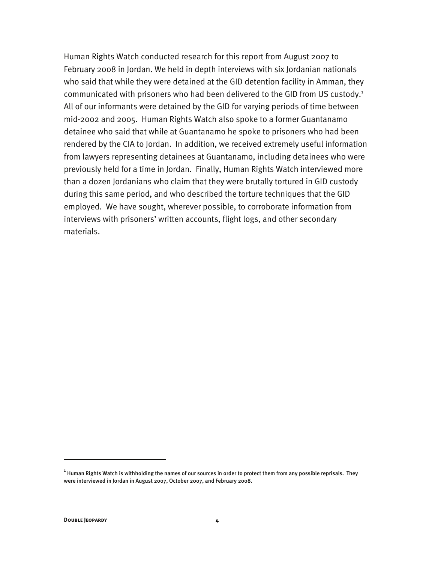Human Rights Watch conducted research for this report from August 2007 to February 2008 in Jordan. We held in depth interviews with six Jordanian nationals who said that while they were detained at the GID detention facility in Amman, they communicated with prisoners who had been delivered to the GID from US custody.<sup>1</sup> All of our informants were detained by the GID for varying periods of time between mid-2002 and 2005. Human Rights Watch also spoke to a former Guantanamo detainee who said that while at Guantanamo he spoke to prisoners who had been rendered by the CIA to Jordan. In addition, we received extremely useful information from lawyers representing detainees at Guantanamo, including detainees who were previously held for a time in Jordan. Finally, Human Rights Watch interviewed more than a dozen Jordanians who claim that they were brutally tortured in GID custody during this same period, and who described the torture techniques that the GID employed. We have sought, wherever possible, to corroborate information from interviews with prisoners' written accounts, flight logs, and other secondary materials.

-

**<sup>1</sup>** Human Rights Watch is withholding the names of our sources in order to protect them from any possible reprisals. They were interviewed in Jordan in August 2007, October 2007, and February 2008.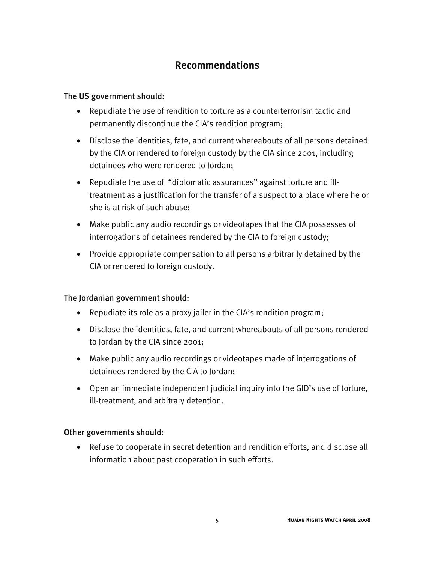# **Recommendations**

## The US government should:

- Repudiate the use of rendition to torture as a counterterrorism tactic and permanently discontinue the CIA's rendition program;
- Disclose the identities, fate, and current whereabouts of all persons detained by the CIA or rendered to foreign custody by the CIA since 2001, including detainees who were rendered to Jordan;
- Repudiate the use of "diplomatic assurances" against torture and illtreatment as a justification for the transfer of a suspect to a place where he or she is at risk of such abuse;
- Make public any audio recordings or videotapes that the CIA possesses of interrogations of detainees rendered by the CIA to foreign custody;
- Provide appropriate compensation to all persons arbitrarily detained by the CIA or rendered to foreign custody.

## The Jordanian government should:

- Repudiate its role as a proxy jailer in the CIA's rendition program;
- Disclose the identities, fate, and current whereabouts of all persons rendered to Jordan by the CIA since 2001;
- Make public any audio recordings or videotapes made of interrogations of detainees rendered by the CIA to Jordan;
- Open an immediate independent judicial inquiry into the GID's use of torture, ill-treatment, and arbitrary detention.

#### Other governments should:

• Refuse to cooperate in secret detention and rendition efforts, and disclose all information about past cooperation in such efforts.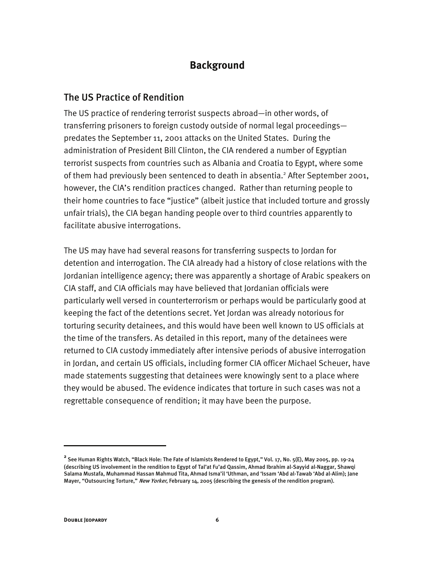# **Background**

## The US Practice of Rendition

The US practice of rendering terrorist suspects abroad—in other words, of transferring prisoners to foreign custody outside of normal legal proceedings predates the September 11, 2001 attacks on the United States. During the administration of President Bill Clinton, the CIA rendered a number of Egyptian terrorist suspects from countries such as Albania and Croatia to Egypt, where some of them had previously been sentenced to death in absentia.<sup>2</sup> After September 2001, however, the CIA's rendition practices changed. Rather than returning people to their home countries to face "justice" (albeit justice that included torture and grossly unfair trials), the CIA began handing people over to third countries apparently to facilitate abusive interrogations.

The US may have had several reasons for transferring suspects to Jordan for detention and interrogation. The CIA already had a history of close relations with the Jordanian intelligence agency; there was apparently a shortage of Arabic speakers on CIA staff, and CIA officials may have believed that Jordanian officials were particularly well versed in counterterrorism or perhaps would be particularly good at keeping the fact of the detentions secret. Yet Jordan was already notorious for torturing security detainees, and this would have been well known to US officials at the time of the transfers. As detailed in this report, many of the detainees were returned to CIA custody immediately after intensive periods of abusive interrogation in Jordan, and certain US officials, including former CIA officer Michael Scheuer, have made statements suggesting that detainees were knowingly sent to a place where they would be abused. The evidence indicates that torture in such cases was not a regrettable consequence of rendition; it may have been the purpose.

**<sup>2</sup>** See Human Rights Watch, "Black Hole: The Fate of Islamists Rendered to Egypt," Vol. 17, No. 5(E), May 2005, pp. 19-24 (describing US involvement in the rendition to Egypt of Tal'at Fu'ad Qassim, Ahmad Ibrahim al-Sayyid al-Naggar, Shawqi Salama Mustafa, Muhammad Hassan Mahmud Tita, Ahmad Isma'il 'Uthman, and 'Issam 'Abd al-Tawab 'Abd al-Alim); Jane Mayer, "Outsourcing Torture," New Yorker, February 14, 2005 (describing the genesis of the rendition program).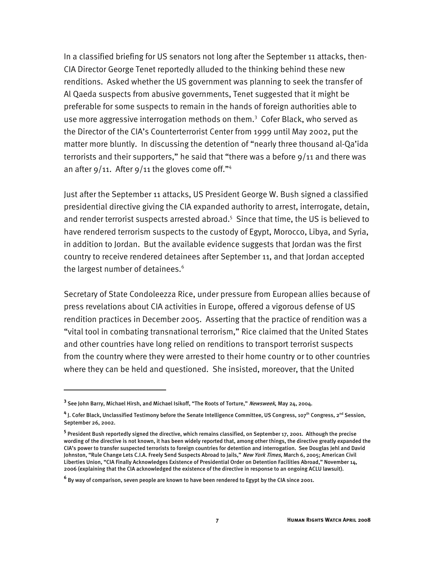In a classified briefing for US senators not long after the September 11 attacks, then-CIA Director George Tenet reportedly alluded to the thinking behind these new renditions. Asked whether the US government was planning to seek the transfer of Al Qaeda suspects from abusive governments, Tenet suggested that it might be preferable for some suspects to remain in the hands of foreign authorities able to use more aggressive interrogation methods on them.<sup>3</sup> Cofer Black, who served as the Director of the CIA's Counterterrorist Center from 1999 until May 2002, put the matter more bluntly. In discussing the detention of "nearly three thousand al-Qa'ida terrorists and their supporters," he said that "there was a before  $9/11$  and there was an after  $9/11$ . After  $9/11$  the gloves come off."<sup>4</sup>

Just after the September 11 attacks, US President George W. Bush signed a classified presidential directive giving the CIA expanded authority to arrest, interrogate, detain, and render terrorist suspects arrested abroad.<sup>5</sup> Since that time, the US is believed to have rendered terrorism suspects to the custody of Egypt, Morocco, Libya, and Syria, in addition to Jordan. But the available evidence suggests that Jordan was the first country to receive rendered detainees after September 11, and that Jordan accepted the largest number of detainees.<sup>6</sup>

Secretary of State Condoleezza Rice, under pressure from European allies because of press revelations about CIA activities in Europe, offered a vigorous defense of US rendition practices in December 2005. Asserting that the practice of rendition was a "vital tool in combating transnational terrorism," Rice claimed that the United States and other countries have long relied on renditions to transport terrorist suspects from the country where they were arrested to their home country or to other countries where they can be held and questioned. She insisted, moreover, that the United

<sup>&</sup>lt;sup>3</sup> See John Barry, Michael Hirsh, and Michael Isikoff, "The Roots of Torture," *Newsweek*, May 24, 2004.

<sup>&</sup>lt;sup>4</sup> J. Cofer Black, Unclassified Testimony before the Senate Intelligence Committee, US Congress, 107<sup>th</sup> Congress, 2<sup>nd</sup> Session, September 26, 2002.

**<sup>5</sup>** President Bush reportedly signed the directive, which remains classified, on September 17, 2001. Although the precise wording of the directive is not known, it has been widely reported that, among other things, the directive greatly expanded the CIA's power to transfer suspected terrorists to foreign countries for detention and interrogation. See Douglas Jehl and David Johnston, "Rule Change Lets C.I.A. Freely Send Suspects Abroad to Jails," New York Times, March 6, 2005; American Civil Liberties Union, "CIA Finally Acknowledges Existence of Presidential Order on Detention Facilities Abroad," November 14, 2006 (explaining that the CIA acknowledged the existence of the directive in response to an ongoing ACLU lawsuit).

**<sup>6</sup>** By way of comparison, seven people are known to have been rendered to Egypt by the CIA since 2001.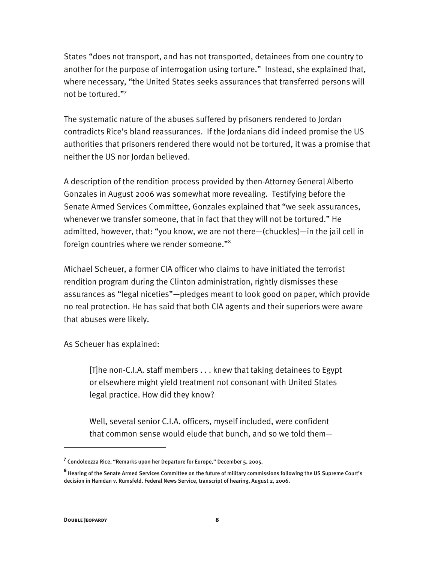States "does not transport, and has not transported, detainees from one country to another for the purpose of interrogation using torture." Instead, she explained that, where necessary, "the United States seeks assurances that transferred persons will not be tortured."7

The systematic nature of the abuses suffered by prisoners rendered to Jordan contradicts Rice's bland reassurances. If the Jordanians did indeed promise the US authorities that prisoners rendered there would not be tortured, it was a promise that neither the US nor Jordan believed.

A description of the rendition process provided by then-Attorney General Alberto Gonzales in August 2006 was somewhat more revealing. Testifying before the Senate Armed Services Committee, Gonzales explained that "we seek assurances, whenever we transfer someone, that in fact that they will not be tortured." He admitted, however, that: "you know, we are not there—(chuckles)—in the jail cell in foreign countries where we render someone."8

Michael Scheuer, a former CIA officer who claims to have initiated the terrorist rendition program during the Clinton administration, rightly dismisses these assurances as "legal niceties"—pledges meant to look good on paper, which provide no real protection. He has said that both CIA agents and their superiors were aware that abuses were likely.

As Scheuer has explained:

[T]he non-C.I.A. staff members . . . knew that taking detainees to Egypt or elsewhere might yield treatment not consonant with United States legal practice. How did they know?

Well, several senior C.I.A. officers, myself included, were confident that common sense would elude that bunch, and so we told them—

-

**<sup>7</sup>** Condoleezza Rice, "Remarks upon her Departure for Europe," December 5, 2005.

**<sup>8</sup>** Hearing of the Senate Armed Services Committee on the future of military commissions following the US Supreme Court's decision in Hamdan v. Rumsfeld. Federal News Service, transcript of hearing, August 2, 2006.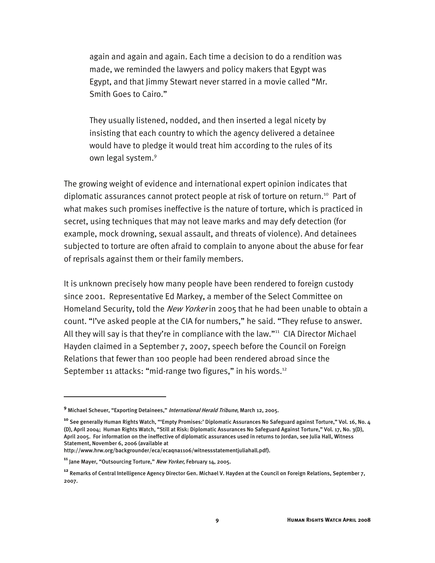again and again and again. Each time a decision to do a rendition was made, we reminded the lawyers and policy makers that Egypt was Egypt, and that Jimmy Stewart never starred in a movie called "Mr. Smith Goes to Cairo."

They usually listened, nodded, and then inserted a legal nicety by insisting that each country to which the agency delivered a detainee would have to pledge it would treat him according to the rules of its own legal system.<sup>9</sup>

The growing weight of evidence and international expert opinion indicates that diplomatic assurances cannot protect people at risk of torture on return.<sup>10</sup> Part of what makes such promises ineffective is the nature of torture, which is practiced in secret, using techniques that may not leave marks and may defy detection (for example, mock drowning, sexual assault, and threats of violence). And detainees subjected to torture are often afraid to complain to anyone about the abuse for fear of reprisals against them or their family members.

It is unknown precisely how many people have been rendered to foreign custody since 2001. Representative Ed Markey, a member of the Select Committee on Homeland Security, told the New Yorker in 2005 that he had been unable to obtain a count. "I've asked people at the CIA for numbers," he said. "They refuse to answer. All they will say is that they're in compliance with the law."<sup>11</sup> CIA Director Michael Hayden claimed in a September 7, 2007, speech before the Council on Foreign Relations that fewer than 100 people had been rendered abroad since the September 11 attacks: "mid-range two figures," in his words.<sup>12</sup>

**<sup>9</sup>** Michael Scheuer, "Exporting Detainees," International Herald Tribune, March 12, 2005.

**<sup>10</sup>** See generally Human Rights Watch, "'Empty Promises:' Diplomatic Assurances No Safeguard against Torture," Vol. 16, No. 4 (D), April 2004; Human Rights Watch, "Still at Risk: Diplomatic Assurances No Safeguard Against Torture," Vol. 17, No. 3(D), April 2005. For information on the ineffective of diplomatic assurances used in returns to Jordan, see Julia Hall, Witness Statement, November 6, 2006 (available at

http://www.hrw.org/backgrounder/eca/ecaqna1106/witnessstatementjuliahall.pdf).

**<sup>11</sup>** Jane Mayer, "Outsourcing Torture," New Yorker, February 14, 2005.

**<sup>12</sup>** Remarks of Central Intelligence Agency Director Gen. Michael V. Hayden at the Council on Foreign Relations, September 7, 2007.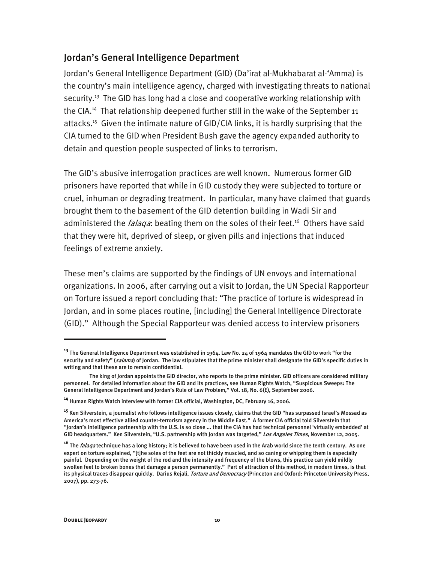## Jordan's General Intelligence Department

Jordan's General Intelligence Department (GID) (Da'irat al-Mukhabarat al-'Amma) is the country's main intelligence agency, charged with investigating threats to national security.<sup>13</sup> The GID has long had a close and cooperative working relationship with the CIA.<sup>14</sup> That relationship deepened further still in the wake of the September 11 attacks.<sup>15</sup> Given the intimate nature of GID/CIA links, it is hardly surprising that the CIA turned to the GID when President Bush gave the agency expanded authority to detain and question people suspected of links to terrorism.

The GID's abusive interrogation practices are well known. Numerous former GID prisoners have reported that while in GID custody they were subjected to torture or cruel, inhuman or degrading treatment. In particular, many have claimed that guards brought them to the basement of the GID detention building in Wadi Sir and administered the *falaga*: beating them on the soles of their feet.<sup>16</sup> Others have said that they were hit, deprived of sleep, or given pills and injections that induced feelings of extreme anxiety.

These men's claims are supported by the findings of UN envoys and international organizations. In 2006, after carrying out a visit to Jordan, the UN Special Rapporteur on Torture issued a report concluding that: "The practice of torture is widespread in Jordan, and in some places routine, [including] the General Intelligence Directorate (GID)." Although the Special Rapporteur was denied access to interview prisoners

**<sup>13</sup>** The General Intelligence Department was established in 1964. Law No. 24 of 1964 mandates the GID to work "for the security and safety" (salama) of Jordan. The law stipulates that the prime minister shall designate the GID's specific duties in writing and that these are to remain confidential.

The king of Jordan appoints the GID director, who reports to the prime minister. GID officers are considered military personnel. For detailed information about the GID and its practices, see Human Rights Watch, "Suspicious Sweeps: The General Intelligence Department and Jordan's Rule of Law Problem," Vol. 18, No. 6(E), September 2006.

**<sup>14</sup>** Human Rights Watch interview with former CIA official, Washington, DC, February 16, 2006.

**<sup>15</sup>** Ken Silverstein, a journalist who follows intelligence issues closely, claims that the GID "has surpassed Israel's Mossad as America's most effective allied counter-terrorism agency in the Middle East." A former CIA official told Silverstein that "Jordan's intelligence partnership with the U.S. is so close ... that the CIA has had technical personnel 'virtually embedded' at GID headquarters." Ken Silverstein, "U.S. partnership with Jordan was targeted," Los Angeles Times, November 12, 2005.

<sup>&</sup>lt;sup>16</sup> The *falaqa* technique has a long history; it is believed to have been used in the Arab world since the tenth century. As one expert on torture explained, "[t]he soles of the feet are not thickly muscled, and so caning or whipping them is especially painful. Depending on the weight of the rod and the intensity and frequency of the blows, this practice can yield mildly swollen feet to broken bones that damage a person permanently." Part of attraction of this method, in modern times, is that its physical traces disappear quickly. Darius Rejali, Torture and Democracy (Princeton and Oxford: Princeton University Press, 2007), pp. 273-76.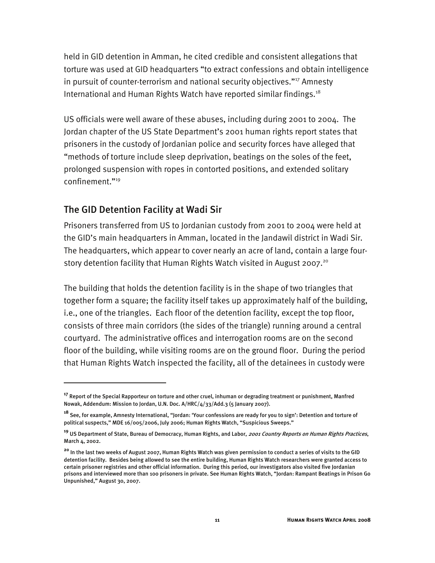held in GID detention in Amman, he cited credible and consistent allegations that torture was used at GID headquarters "to extract confessions and obtain intelligence in pursuit of counter-terrorism and national security objectives."<sup>17</sup> Amnesty International and Human Rights Watch have reported similar findings.<sup>18</sup>

US officials were well aware of these abuses, including during 2001 to 2004. The Jordan chapter of the US State Department's 2001 human rights report states that prisoners in the custody of Jordanian police and security forces have alleged that "methods of torture include sleep deprivation, beatings on the soles of the feet, prolonged suspension with ropes in contorted positions, and extended solitary confinement."19

## The GID Detention Facility at Wadi Sir

I

Prisoners transferred from US to Jordanian custody from 2001 to 2004 were held at the GID's main headquarters in Amman, located in the Jandawil district in Wadi Sir. The headquarters, which appear to cover nearly an acre of land, contain a large fourstory detention facility that Human Rights Watch visited in August 2007.<sup>20</sup>

The building that holds the detention facility is in the shape of two triangles that together form a square; the facility itself takes up approximately half of the building, i.e., one of the triangles. Each floor of the detention facility, except the top floor, consists of three main corridors (the sides of the triangle) running around a central courtyard. The administrative offices and interrogation rooms are on the second floor of the building, while visiting rooms are on the ground floor. During the period that Human Rights Watch inspected the facility, all of the detainees in custody were

**<sup>17</sup>** Report of the Special Rapporteur on torture and other cruel, inhuman or degrading treatment or punishment, Manfred Nowak, Addendum: Mission to Jordan, U.N. Doc. A/HRC/4/33/Add.3 (5 January 2007).

**<sup>18</sup>** See, for example, Amnesty International, "Jordan: 'Your confessions are ready for you to sign': Detention and torture of political suspects," MDE 16/005/2006, July 2006; Human Rights Watch, "Suspicious Sweeps."

**<sup>19</sup>** US Department of State, Bureau of Democracy, Human Rights, and Labor, 2001 Country Reports on Human Rights Practices, March 4, 2002.

**<sup>20</sup>** In the last two weeks of August 2007, Human Rights Watch was given permission to conduct a series of visits to the GID detention facility. Besides being allowed to see the entire building, Human Rights Watch researchers were granted access to certain prisoner registries and other official information. During this period, our investigators also visited five Jordanian prisons and interviewed more than 100 prisoners in private. See Human Rights Watch, "Jordan: Rampant Beatings in Prison Go Unpunished," August 30, 2007.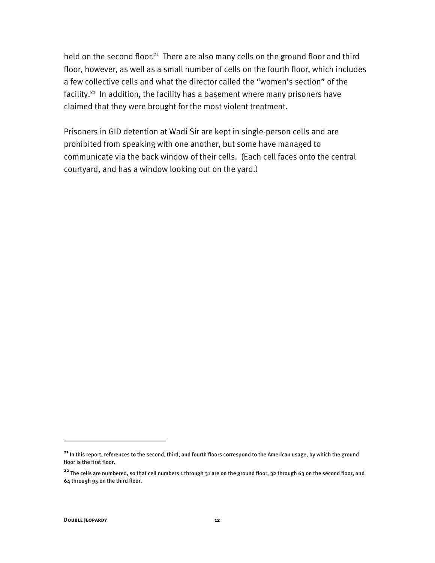held on the second floor.<sup>21</sup> There are also many cells on the ground floor and third floor, however, as well as a small number of cells on the fourth floor, which includes a few collective cells and what the director called the "women's section" of the facility.<sup>22</sup> In addition, the facility has a basement where many prisoners have claimed that they were brought for the most violent treatment.

Prisoners in GID detention at Wadi Sir are kept in single-person cells and are prohibited from speaking with one another, but some have managed to communicate via the back window of their cells. (Each cell faces onto the central courtyard, and has a window looking out on the yard.)

**<sup>21</sup>** In this report, references to the second, third, and fourth floors correspond to the American usage, by which the ground floor is the first floor.

**<sup>22</sup>** The cells are numbered, so that cell numbers 1 through 31 are on the ground floor, 32 through 63 on the second floor, and 64 through 95 on the third floor.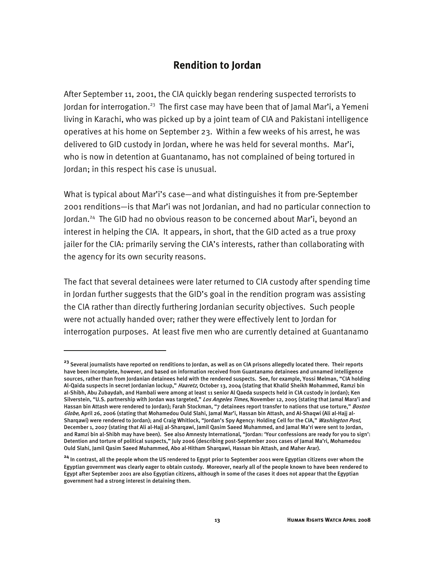## **Rendition to Jordan**

After September 11, 2001, the CIA quickly began rendering suspected terrorists to Jordan for interrogation.<sup>23</sup> The first case may have been that of Jamal Mar'i, a Yemeni living in Karachi, who was picked up by a joint team of CIA and Pakistani intelligence operatives at his home on September 23. Within a few weeks of his arrest, he was delivered to GID custody in Jordan, where he was held for several months. Mar'i, who is now in detention at Guantanamo, has not complained of being tortured in Jordan; in this respect his case is unusual.

What is typical about Mar'i's case—and what distinguishes it from pre-September 2001 renditions—is that Mar'i was not Jordanian, and had no particular connection to Jordan.<sup>24</sup> The GID had no obvious reason to be concerned about Mar'i, beyond an interest in helping the CIA. It appears, in short, that the GID acted as a true proxy jailer for the CIA: primarily serving the CIA's interests, rather than collaborating with the agency for its own security reasons.

The fact that several detainees were later returned to CIA custody after spending time in Jordan further suggests that the GID's goal in the rendition program was assisting the CIA rather than directly furthering Jordanian security objectives. Such people were not actually handed over; rather they were effectively lent to Jordan for interrogation purposes. At least five men who are currently detained at Guantanamo

j

**<sup>23</sup>** Several journalists have reported on renditions to Jordan, as well as on CIA prisons allegedly located there. Their reports have been incomplete, however, and based on information received from Guantanamo detainees and unnamed intelligence sources, rather than from Jordanian detainees held with the rendered suspects. See, for example, Yossi Melman, "CIA holding Al-Qaida suspects in secret Jordanian lockup," *Haaretz*, October 13, 2004 (stating that Khalid Sheikh Mohammed, Ramzi bin al-Shibh, Abu Zubaydah, and Hambali were among at least 11 senior Al Qaeda suspects held in CIA custody in Jordan); Ken Silverstein, "U.S. partnership with Jordan was targeted," Los Angeles Times, November 12, 2005 (stating that Jamal Mara'i and Hassan bin Attash were rendered to Jordan); Farah Stockman, "7 detainees report transfer to nations that use torture," Boston Globe, April 26, 2006 (stating that Mohamedou Ould Slahi, Jamal Mar'i, Hassan bin Attash, and Al-Shaqwi (Ali al-Hajj al-Shargawi) were rendered to Jordan); and Craig Whitlock, "Jordan's Spy Agency: Holding Cell for the CIA," Washington Post, December 1, 2007 (stating that Ali al-Hajj al-Sharqawi, Jamil Qasim Saeed Muhammed, and Jamal Ma'ri were sent to Jordan, and Ramzi bin al-Shibh may have been). See also Amnesty International, "Jordan: 'Your confessions are ready for you to sign': Detention and torture of political suspects," July 2006 (describing post-September 2001 cases of Jamal Ma'ri, Mohamedou Ould Slahi, Jamil Qasim Saeed Muhammed, Abo al-Hitham Sharqawi, Hassan bin Attash, and Maher Arar).

**<sup>24</sup>** In contrast, all the people whom the US rendered to Egypt prior to September 2001 were Egyptian citizens over whom the Egyptian government was clearly eager to obtain custody. Moreover, nearly all of the people known to have been rendered to Egypt after September 2001 are also Egyptian citizens, although in some of the cases it does not appear that the Egyptian government had a strong interest in detaining them.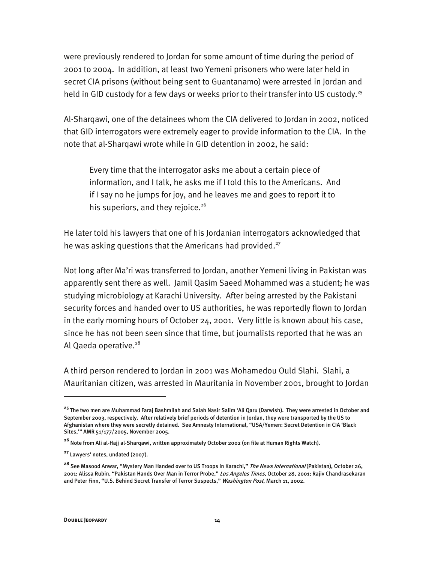were previously rendered to Jordan for some amount of time during the period of 2001 to 2004. In addition, at least two Yemeni prisoners who were later held in secret CIA prisons (without being sent to Guantanamo) were arrested in Jordan and held in GID custody for a few days or weeks prior to their transfer into US custody.<sup>25</sup>

Al-Sharqawi, one of the detainees whom the CIA delivered to Jordan in 2002, noticed that GID interrogators were extremely eager to provide information to the CIA. In the note that al-Sharqawi wrote while in GID detention in 2002, he said:

Every time that the interrogator asks me about a certain piece of information, and I talk, he asks me if I told this to the Americans. And if I say no he jumps for joy, and he leaves me and goes to report it to his superiors, and they rejoice. $26$ 

He later told his lawyers that one of his Jordanian interrogators acknowledged that he was asking questions that the Americans had provided.<sup>27</sup>

Not long after Ma'ri was transferred to Jordan, another Yemeni living in Pakistan was apparently sent there as well. Jamil Qasim Saeed Mohammed was a student; he was studying microbiology at Karachi University. After being arrested by the Pakistani security forces and handed over to US authorities, he was reportedly flown to Jordan in the early morning hours of October 24, 2001. Very little is known about his case, since he has not been seen since that time, but journalists reported that he was an Al Qaeda operative.<sup>28</sup>

A third person rendered to Jordan in 2001 was Mohamedou Ould Slahi. Slahi, a Mauritanian citizen, was arrested in Mauritania in November 2001, brought to Jordan

**<sup>25</sup>** The two men are Muhammad Faraj Bashmilah and Salah Nasir Salim 'Ali Qaru (Darwish). They were arrested in October and September 2003, respectively. After relatively brief periods of detention in Jordan, they were transported by the US to Afghanistan where they were secretly detained. See Amnesty International, "USA/Yemen: Secret Detention in CIA 'Black Sites,'" AMR 51/177/2005, November 2005.

**<sup>26</sup>** Note from Ali al-Hajj al-Sharqawi, written approximately October 2002 (on file at Human Rights Watch).

**<sup>27</sup>** Lawyers' notes, undated (2007).

**<sup>28</sup>** See Masood Anwar, "Mystery Man Handed over to US Troops in Karachi," The News International (Pakistan), October 26, 2001; Alissa Rubin, "Pakistan Hands Over Man in Terror Probe," *Los Angeles Times*, October 28, 2001; Rajiv Chandrasekaran and Peter Finn, "U.S. Behind Secret Transfer of Terror Suspects," Washington Post, March 11, 2002.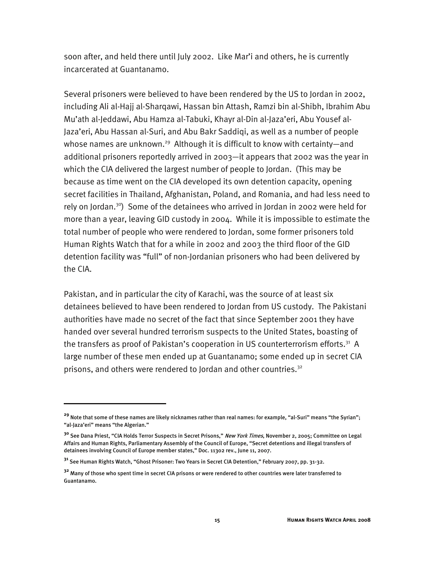soon after, and held there until July 2002. Like Mar'i and others, he is currently incarcerated at Guantanamo.

Several prisoners were believed to have been rendered by the US to Jordan in 2002, including Ali al-Hajj al-Sharqawi, Hassan bin Attash, Ramzi bin al-Shibh, Ibrahim Abu Mu'ath al-Jeddawi, Abu Hamza al-Tabuki, Khayr al-Din al-Jaza'eri, Abu Yousef al-Jaza'eri, Abu Hassan al-Suri, and Abu Bakr Saddiqi, as well as a number of people whose names are unknown.<sup>29</sup> Although it is difficult to know with certainty—and additional prisoners reportedly arrived in 2003—it appears that 2002 was the year in which the CIA delivered the largest number of people to Jordan. (This may be because as time went on the CIA developed its own detention capacity, opening secret facilities in Thailand, Afghanistan, Poland, and Romania, and had less need to rely on Jordan.<sup>30</sup>) Some of the detainees who arrived in Jordan in 2002 were held for more than a year, leaving GID custody in 2004. While it is impossible to estimate the total number of people who were rendered to Jordan, some former prisoners told Human Rights Watch that for a while in 2002 and 2003 the third floor of the GID detention facility was "full" of non-Jordanian prisoners who had been delivered by the CIA.

Pakistan, and in particular the city of Karachi, was the source of at least six detainees believed to have been rendered to Jordan from US custody. The Pakistani authorities have made no secret of the fact that since September 2001 they have handed over several hundred terrorism suspects to the United States, boasting of the transfers as proof of Pakistan's cooperation in US counterterrorism efforts.<sup>31</sup> A large number of these men ended up at Guantanamo; some ended up in secret CIA prisons, and others were rendered to Jordan and other countries.<sup>32</sup>

-

**<sup>29</sup>** Note that some of these names are likely nicknames rather than real names: for example, "al-Suri" means "the Syrian"; "al-Jaza'eri" means "the Algerian."

**<sup>30</sup>** See Dana Priest, "CIA Holds Terror Suspects in Secret Prisons," New York Times, November 2, 2005; Committee on Legal Affairs and Human Rights, Parliamentary Assembly of the Council of Europe, "Secret detentions and illegal transfers of detainees involving Council of Europe member states," Doc. 11302 rev., June 11, 2007.

**<sup>31</sup>** See Human Rights Watch, "Ghost Prisoner: Two Years in Secret CIA Detention," February 2007, pp. 31-32.

**<sup>32</sup>** Many of those who spent time in secret CIA prisons or were rendered to other countries were later transferred to Guantanamo.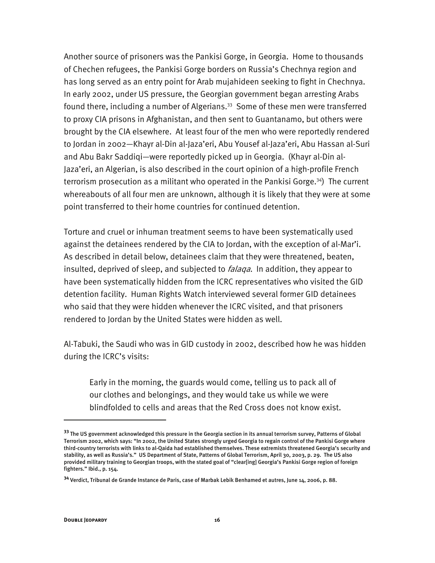Another source of prisoners was the Pankisi Gorge, in Georgia. Home to thousands of Chechen refugees, the Pankisi Gorge borders on Russia's Chechnya region and has long served as an entry point for Arab mujahideen seeking to fight in Chechnya. In early 2002, under US pressure, the Georgian government began arresting Arabs found there, including a number of Algerians.<sup>33</sup> Some of these men were transferred to proxy CIA prisons in Afghanistan, and then sent to Guantanamo, but others were brought by the CIA elsewhere. At least four of the men who were reportedly rendered to Jordan in 2002—Khayr al-Din al-Jaza'eri, Abu Yousef al-Jaza'eri, Abu Hassan al-Suri and Abu Bakr Saddiqi—were reportedly picked up in Georgia. (Khayr al-Din al-Jaza'eri, an Algerian, is also described in the court opinion of a high-profile French terrorism prosecution as a militant who operated in the Pankisi Gorge.<sup>34</sup>) The current whereabouts of all four men are unknown, although it is likely that they were at some point transferred to their home countries for continued detention.

Torture and cruel or inhuman treatment seems to have been systematically used against the detainees rendered by the CIA to Jordan, with the exception of al-Mar'i. As described in detail below, detainees claim that they were threatened, beaten, insulted, deprived of sleep, and subjected to *falaqa*. In addition, they appear to have been systematically hidden from the ICRC representatives who visited the GID detention facility. Human Rights Watch interviewed several former GID detainees who said that they were hidden whenever the ICRC visited, and that prisoners rendered to Jordan by the United States were hidden as well.

Al-Tabuki, the Saudi who was in GID custody in 2002, described how he was hidden during the ICRC's visits:

Early in the morning, the guards would come, telling us to pack all of our clothes and belongings, and they would take us while we were blindfolded to cells and areas that the Red Cross does not know exist.

-

**<sup>33</sup>** The US government acknowledged this pressure in the Georgia section in its annual terrorism survey, Patterns of Global Terrorism 2002, which says: "In 2002, the United States strongly urged Georgia to regain control of the Pankisi Gorge where third-country terrorists with links to al-Qaida had established themselves. These extremists threatened Georgia's security and stability, as well as Russia's." US Department of State, Patterns of Global Terrorism, April 30, 2003, p. 29. The US also provided military training to Georgian troops, with the stated goal of "clear[ing] Georgia's Pankisi Gorge region of foreign fighters." Ibid., p. 154.

**<sup>34</sup>** Verdict, Tribunal de Grande Instance de Paris, case of Marbak Lebik Benhamed et autres, June 14, 2006, p. 88.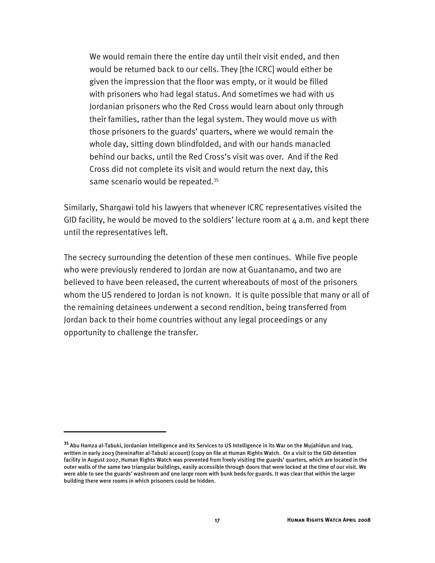We would remain there the entire day until their visit ended, and then would be returned back to our cells. They [the ICRC] would either be given the impression that the floor was empty, or it would be filled with prisoners who had legal status. And sometimes we had with us Jordanian prisoners who the Red Cross would learn about only through their families, rather than the legal system. They would move us with those prisoners to the guards' quarters, where we would remain the whole day, sitting down blindfolded, and with our hands manacled behind our backs, until the Red Cross's visit was over. And if the Red Cross did not complete its visit and would return the next day, this same scenario would be repeated.<sup>35</sup>

Similarly, Sharqawi told his lawyers that whenever ICRC representatives visited the GID facility, he would be moved to the soldiers' lecture room at  $4$  a.m. and kept there until the representatives left.

The secrecy surrounding the detention of these men continues. While five people who were previously rendered to Jordan are now at Guantanamo, and two are believed to have been released, the current whereabouts of most of the prisoners whom the US rendered to Jordan is not known. It is quite possible that many or all of the remaining detainees underwent a second rendition, being transferred from Jordan back to their home countries without any legal proceedings or any opportunity to challenge the transfer.

**<sup>35</sup>** Abu Hamza al-Tabuki, Jordanian Intelligence and its Services to US Intelligence in its War on the Mujahidun and Iraq, written in early 2003 (hereinafter al-Tabuki account) (copy on file at Human Rights Watch. On a visit to the GID detention facility in August 2007, Human Rights Watch was prevented from freely visiting the guards' quarters, which are located in the outer walls of the same two triangular buildings, easily accessible through doors that were locked at the time of our visit. We were able to see the guards' washroom and one large room with bunk beds for guards. It was clear that within the larger building there were rooms in which prisoners could be hidden.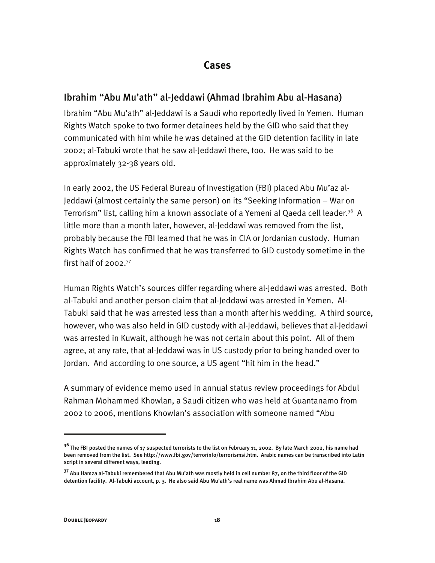## **Cases**

## Ibrahim "Abu Mu'ath" al-Jeddawi (Ahmad Ibrahim Abu al-Hasana)

Ibrahim "Abu Mu'ath" al-Jeddawi is a Saudi who reportedly lived in Yemen. Human Rights Watch spoke to two former detainees held by the GID who said that they communicated with him while he was detained at the GID detention facility in late 2002; al-Tabuki wrote that he saw al-Jeddawi there, too. He was said to be approximately 32-38 years old.

In early 2002, the US Federal Bureau of Investigation (FBI) placed Abu Mu'az al-Jeddawi (almost certainly the same person) on its "Seeking Information – War on Terrorism" list, calling him a known associate of a Yemeni al Qaeda cell leader.<sup>36</sup> A little more than a month later, however, al-Jeddawi was removed from the list, probably because the FBI learned that he was in CIA or Jordanian custody. Human Rights Watch has confirmed that he was transferred to GID custody sometime in the first half of  $2002.<sup>37</sup>$ 

Human Rights Watch's sources differ regarding where al-Jeddawi was arrested. Both al-Tabuki and another person claim that al-Jeddawi was arrested in Yemen. Al-Tabuki said that he was arrested less than a month after his wedding. A third source, however, who was also held in GID custody with al-Jeddawi, believes that al-Jeddawi was arrested in Kuwait, although he was not certain about this point. All of them agree, at any rate, that al-Jeddawi was in US custody prior to being handed over to Jordan. And according to one source, a US agent "hit him in the head."

A summary of evidence memo used in annual status review proceedings for Abdul Rahman Mohammed Khowlan, a Saudi citizen who was held at Guantanamo from 2002 to 2006, mentions Khowlan's association with someone named "Abu

**<sup>36</sup>** The FBI posted the names of 17 suspected terrorists to the list on February 11, 2002. By late March 2002, his name had been removed from the list. See http://www.fbi.gov/terrorinfo/terrorismsi.htm. Arabic names can be transcribed into Latin script in several different ways, leading.

**<sup>37</sup>** Abu Hamza al-Tabuki remembered that Abu Mu'ath was mostly held in cell number 87, on the third floor of the GID detention facility. Al-Tabuki account, p. 3. He also said Abu Mu'ath's real name was Ahmad Ibrahim Abu al-Hasana.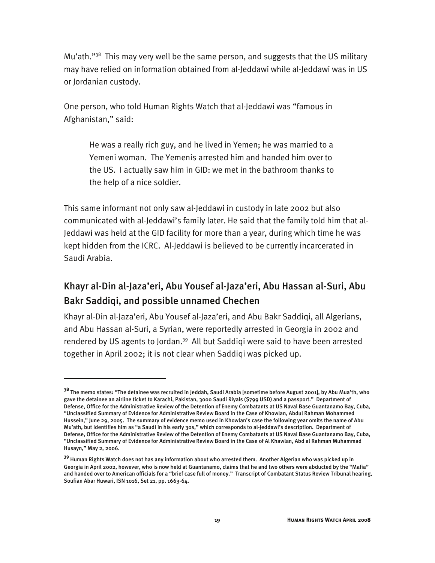Mu'ath."<sup>38</sup> This may very well be the same person, and suggests that the US military may have relied on information obtained from al-Jeddawi while al-Jeddawi was in US or Jordanian custody.

One person, who told Human Rights Watch that al-Jeddawi was "famous in Afghanistan," said:

He was a really rich guy, and he lived in Yemen; he was married to a Yemeni woman. The Yemenis arrested him and handed him over to the US. I actually saw him in GID: we met in the bathroom thanks to the help of a nice soldier.

This same informant not only saw al-Jeddawi in custody in late 2002 but also communicated with al-Jeddawi's family later. He said that the family told him that al-Jeddawi was held at the GID facility for more than a year, during which time he was kept hidden from the ICRC. Al-Jeddawi is believed to be currently incarcerated in Saudi Arabia.

# Khayr al-Din al-Jaza'eri, Abu Yousef al-Jaza'eri, Abu Hassan al-Suri, Abu Bakr Saddiqi, and possible unnamed Chechen

Khayr al-Din al-Jaza'eri, Abu Yousef al-Jaza'eri, and Abu Bakr Saddiqi, all Algerians, and Abu Hassan al-Suri, a Syrian, were reportedly arrested in Georgia in 2002 and rendered by US agents to Jordan.<sup>39</sup> All but Saddigi were said to have been arrested together in April 2002; it is not clear when Saddiqi was picked up.

j

**<sup>38</sup>** The memo states: "The detainee was recruited in Jeddah, Saudi Arabia [sometime before August 2001], by Abu Mua'th, who gave the detainee an airline ticket to Karachi, Pakistan, 3000 Saudi Riyals (\$799 USD) and a passport." Department of Defense, Office for the Administrative Review of the Detention of Enemy Combatants at US Naval Base Guantanamo Bay, Cuba, "Unclassified Summary of Evidence for Administrative Review Board in the Case of Khowlan, Abdul Rahman Mohammed Hussein," June 29, 2005. The summary of evidence memo used in Khowlan's case the following year omits the name of Abu Mu'ath, but identifies him as "a Saudi in his early 30s," which corresponds to al-Jeddawi's description. Department of Defense, Office for the Administrative Review of the Detention of Enemy Combatants at US Naval Base Guantanamo Bay, Cuba, "Unclassified Summary of Evidence for Administrative Review Board in the Case of Al Khawlan, Abd al Rahman Muhammad Husayn," May 2, 2006.

**<sup>39</sup>** Human Rights Watch does not has any information about who arrested them. Another Algerian who was picked up in Georgia in April 2002, however, who is now held at Guantanamo, claims that he and two others were abducted by the "Mafia" and handed over to American officials for a "brief case full of money." Transcript of Combatant Status Review Tribunal hearing, Soufian Abar Huwari, ISN 1016, Set 21, pp. 1663-64.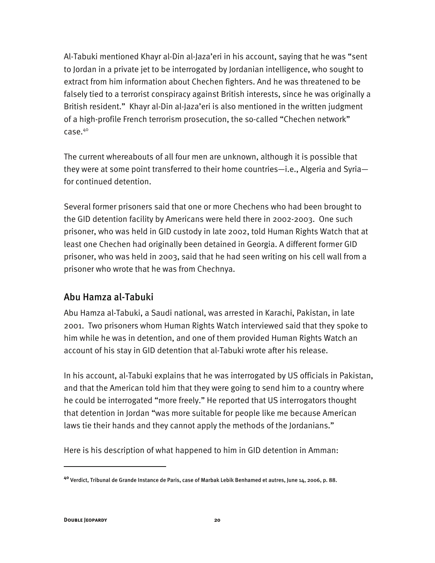Al-Tabuki mentioned Khayr al-Din al-Jaza'eri in his account, saying that he was "sent to Jordan in a private jet to be interrogated by Jordanian intelligence, who sought to extract from him information about Chechen fighters. And he was threatened to be falsely tied to a terrorist conspiracy against British interests, since he was originally a British resident." Khayr al-Din al-Jaza'eri is also mentioned in the written judgment of a high-profile French terrorism prosecution, the so-called "Chechen network" case.40

The current whereabouts of all four men are unknown, although it is possible that they were at some point transferred to their home countries—i.e., Algeria and Syria for continued detention.

Several former prisoners said that one or more Chechens who had been brought to the GID detention facility by Americans were held there in 2002-2003. One such prisoner, who was held in GID custody in late 2002, told Human Rights Watch that at least one Chechen had originally been detained in Georgia. A different former GID prisoner, who was held in 2003, said that he had seen writing on his cell wall from a prisoner who wrote that he was from Chechnya.

## Abu Hamza al-Tabuki

Abu Hamza al-Tabuki, a Saudi national, was arrested in Karachi, Pakistan, in late 2001. Two prisoners whom Human Rights Watch interviewed said that they spoke to him while he was in detention, and one of them provided Human Rights Watch an account of his stay in GID detention that al-Tabuki wrote after his release.

In his account, al-Tabuki explains that he was interrogated by US officials in Pakistan, and that the American told him that they were going to send him to a country where he could be interrogated "more freely." He reported that US interrogators thought that detention in Jordan "was more suitable for people like me because American laws tie their hands and they cannot apply the methods of the Jordanians."

Here is his description of what happened to him in GID detention in Amman:

**<sup>40</sup>** Verdict, Tribunal de Grande Instance de Paris, case of Marbak Lebik Benhamed et autres, June 14, 2006, p. 88.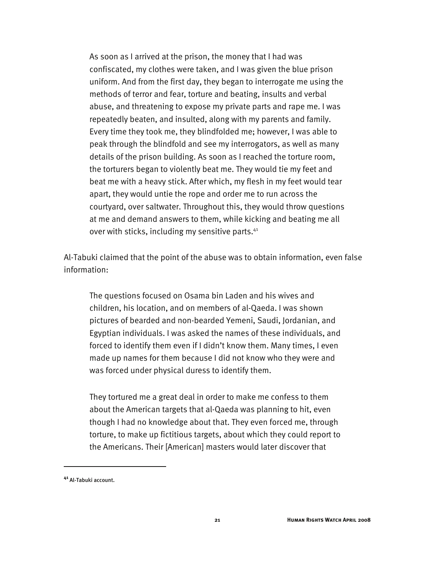As soon as I arrived at the prison, the money that I had was confiscated, my clothes were taken, and I was given the blue prison uniform. And from the first day, they began to interrogate me using the methods of terror and fear, torture and beating, insults and verbal abuse, and threatening to expose my private parts and rape me. I was repeatedly beaten, and insulted, along with my parents and family. Every time they took me, they blindfolded me; however, I was able to peak through the blindfold and see my interrogators, as well as many details of the prison building. As soon as I reached the torture room, the torturers began to violently beat me. They would tie my feet and beat me with a heavy stick. After which, my flesh in my feet would tear apart, they would untie the rope and order me to run across the courtyard, over saltwater. Throughout this, they would throw questions at me and demand answers to them, while kicking and beating me all over with sticks, including my sensitive parts.<sup>41</sup>

Al-Tabuki claimed that the point of the abuse was to obtain information, even false information:

The questions focused on Osama bin Laden and his wives and children, his location, and on members of al-Qaeda. I was shown pictures of bearded and non-bearded Yemeni, Saudi, Jordanian, and Egyptian individuals. I was asked the names of these individuals, and forced to identify them even if I didn't know them. Many times, I even made up names for them because I did not know who they were and was forced under physical duress to identify them.

They tortured me a great deal in order to make me confess to them about the American targets that al-Qaeda was planning to hit, even though I had no knowledge about that. They even forced me, through torture, to make up fictitious targets, about which they could report to the Americans. Their [American] masters would later discover that

**<sup>41</sup>** Al-Tabuki account.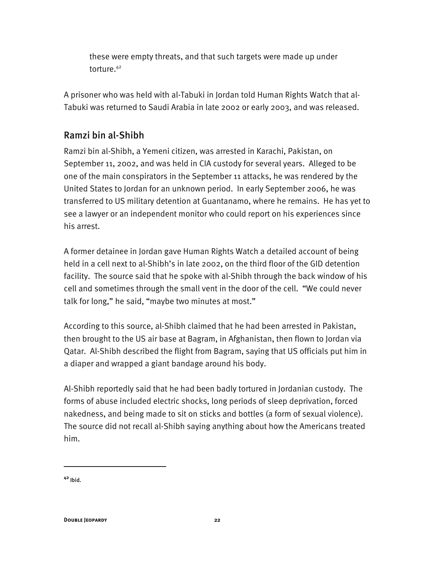these were empty threats, and that such targets were made up under torture.<sup>42</sup>

A prisoner who was held with al-Tabuki in Jordan told Human Rights Watch that al-Tabuki was returned to Saudi Arabia in late 2002 or early 2003, and was released.

## Ramzi bin al-Shibh

Ramzi bin al-Shibh, a Yemeni citizen, was arrested in Karachi, Pakistan, on September 11, 2002, and was held in CIA custody for several years. Alleged to be one of the main conspirators in the September 11 attacks, he was rendered by the United States to Jordan for an unknown period. In early September 2006, he was transferred to US military detention at Guantanamo, where he remains. He has yet to see a lawyer or an independent monitor who could report on his experiences since his arrest.

A former detainee in Jordan gave Human Rights Watch a detailed account of being held in a cell next to al-Shibh's in late 2002, on the third floor of the GID detention facility. The source said that he spoke with al-Shibh through the back window of his cell and sometimes through the small vent in the door of the cell. "We could never talk for long," he said, "maybe two minutes at most."

According to this source, al-Shibh claimed that he had been arrested in Pakistan, then brought to the US air base at Bagram, in Afghanistan, then flown to Jordan via Qatar. Al-Shibh described the flight from Bagram, saying that US officials put him in a diaper and wrapped a giant bandage around his body.

Al-Shibh reportedly said that he had been badly tortured in Jordanian custody. The forms of abuse included electric shocks, long periods of sleep deprivation, forced nakedness, and being made to sit on sticks and bottles (a form of sexual violence). The source did not recall al-Shibh saying anything about how the Americans treated him.

**<sup>42</sup>** Ibid.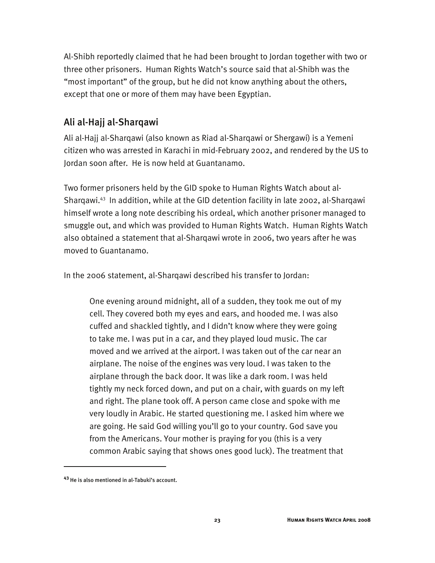Al-Shibh reportedly claimed that he had been brought to Jordan together with two or three other prisoners. Human Rights Watch's source said that al-Shibh was the "most important" of the group, but he did not know anything about the others, except that one or more of them may have been Egyptian.

## Ali al-Hajj al-Sharqawi

Ali al-Hajj al-Sharqawi (also known as Riad al-Sharqawi or Shergawi) is a Yemeni citizen who was arrested in Karachi in mid-February 2002, and rendered by the US to Jordan soon after. He is now held at Guantanamo.

Two former prisoners held by the GID spoke to Human Rights Watch about al-Sharqawi.43 In addition, while at the GID detention facility in late 2002, al-Sharqawi himself wrote a long note describing his ordeal, which another prisoner managed to smuggle out, and which was provided to Human Rights Watch. Human Rights Watch also obtained a statement that al-Sharqawi wrote in 2006, two years after he was moved to Guantanamo.

In the 2006 statement, al-Sharqawi described his transfer to Jordan:

One evening around midnight, all of a sudden, they took me out of my cell. They covered both my eyes and ears, and hooded me. I was also cuffed and shackled tightly, and I didn't know where they were going to take me. I was put in a car, and they played loud music. The car moved and we arrived at the airport. I was taken out of the car near an airplane. The noise of the engines was very loud. I was taken to the airplane through the back door. It was like a dark room. I was held tightly my neck forced down, and put on a chair, with guards on my left and right. The plane took off. A person came close and spoke with me very loudly in Arabic. He started questioning me. I asked him where we are going. He said God willing you'll go to your country. God save you from the Americans. Your mother is praying for you (this is a very common Arabic saying that shows ones good luck). The treatment that

-

**<sup>43</sup>** He is also mentioned in al-Tabuki's account.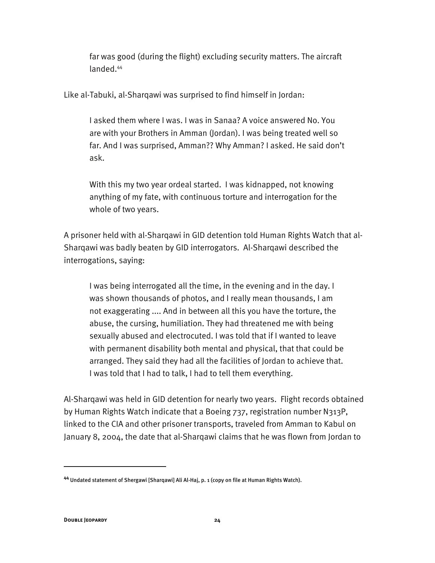far was good (during the flight) excluding security matters. The aircraft landed.44

Like al-Tabuki, al-Sharqawi was surprised to find himself in Jordan:

I asked them where I was. I was in Sanaa? A voice answered No. You are with your Brothers in Amman (Jordan). I was being treated well so far. And I was surprised, Amman?? Why Amman? I asked. He said don't ask.

With this my two year ordeal started. I was kidnapped, not knowing anything of my fate, with continuous torture and interrogation for the whole of two years.

A prisoner held with al-Sharqawi in GID detention told Human Rights Watch that al-Sharqawi was badly beaten by GID interrogators. Al-Sharqawi described the interrogations, saying:

I was being interrogated all the time, in the evening and in the day. I was shown thousands of photos, and I really mean thousands, I am not exaggerating .... And in between all this you have the torture, the abuse, the cursing, humiliation. They had threatened me with being sexually abused and electrocuted. I was told that if I wanted to leave with permanent disability both mental and physical, that that could be arranged. They said they had all the facilities of Jordan to achieve that. I was told that I had to talk, I had to tell them everything.

Al-Sharqawi was held in GID detention for nearly two years. Flight records obtained by Human Rights Watch indicate that a Boeing 737, registration number N313P, linked to the CIA and other prisoner transports, traveled from Amman to Kabul on January 8, 2004, the date that al-Sharqawi claims that he was flown from Jordan to

**<sup>44</sup>** Undated statement of Shergawi [Sharqawi] Ali Al-Haj, p. 1 (copy on file at Human Rights Watch).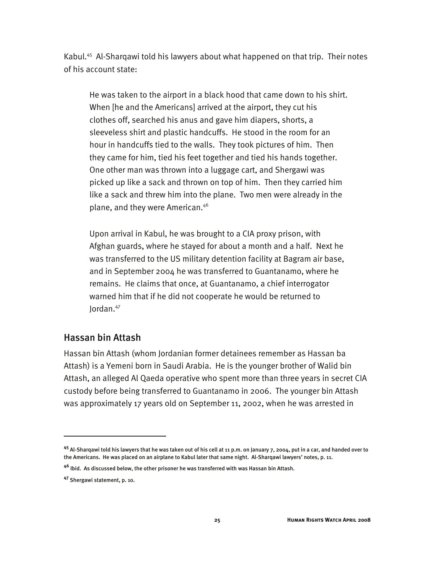Kabul.<sup>45</sup> Al-Shargawi told his lawyers about what happened on that trip. Their notes of his account state:

He was taken to the airport in a black hood that came down to his shirt. When [he and the Americans] arrived at the airport, they cut his clothes off, searched his anus and gave him diapers, shorts, a sleeveless shirt and plastic handcuffs. He stood in the room for an hour in handcuffs tied to the walls. They took pictures of him. Then they came for him, tied his feet together and tied his hands together. One other man was thrown into a luggage cart, and Shergawi was picked up like a sack and thrown on top of him. Then they carried him like a sack and threw him into the plane. Two men were already in the plane, and they were American.46

Upon arrival in Kabul, he was brought to a CIA proxy prison, with Afghan guards, where he stayed for about a month and a half. Next he was transferred to the US military detention facility at Bagram air base, and in September 2004 he was transferred to Guantanamo, where he remains. He claims that once, at Guantanamo, a chief interrogator warned him that if he did not cooperate he would be returned to Jordan.47

## Hassan bin Attash

Hassan bin Attash (whom Jordanian former detainees remember as Hassan ba Attash) is a Yemeni born in Saudi Arabia. He is the younger brother of Walid bin Attash, an alleged Al Qaeda operative who spent more than three years in secret CIA custody before being transferred to Guantanamo in 2006. The younger bin Attash was approximately 17 years old on September 11, 2002, when he was arrested in

**<sup>45</sup>** Al-Sharqawi told his lawyers that he was taken out of his cell at 11 p.m. on January 7, 2004, put in a car, and handed over to the Americans. He was placed on an airplane to Kabul later that same night. Al-Sharqawi lawyers' notes, p. 11.

**<sup>46</sup>** Ibid. As discussed below, the other prisoner he was transferred with was Hassan bin Attash.

**<sup>47</sup>** Shergawi statement, p. 10.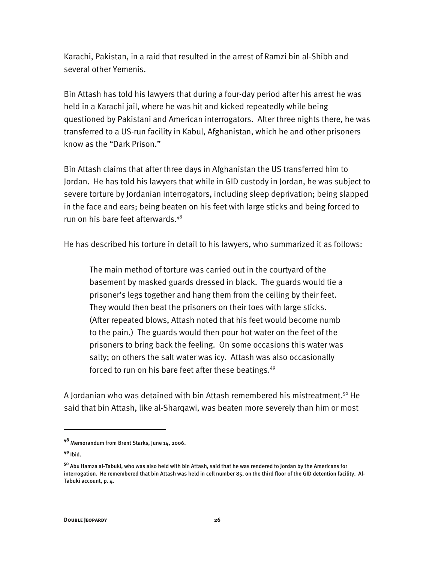Karachi, Pakistan, in a raid that resulted in the arrest of Ramzi bin al-Shibh and several other Yemenis.

Bin Attash has told his lawyers that during a four-day period after his arrest he was held in a Karachi jail, where he was hit and kicked repeatedly while being questioned by Pakistani and American interrogators. After three nights there, he was transferred to a US-run facility in Kabul, Afghanistan, which he and other prisoners know as the "Dark Prison."

Bin Attash claims that after three days in Afghanistan the US transferred him to Jordan. He has told his lawyers that while in GID custody in Jordan, he was subject to severe torture by Jordanian interrogators, including sleep deprivation; being slapped in the face and ears; being beaten on his feet with large sticks and being forced to run on his bare feet afterwards.<sup>48</sup>

He has described his torture in detail to his lawyers, who summarized it as follows:

The main method of torture was carried out in the courtyard of the basement by masked guards dressed in black. The guards would tie a prisoner's legs together and hang them from the ceiling by their feet. They would then beat the prisoners on their toes with large sticks. (After repeated blows, Attash noted that his feet would become numb to the pain.) The guards would then pour hot water on the feet of the prisoners to bring back the feeling. On some occasions this water was salty; on others the salt water was icy. Attash was also occasionally forced to run on his bare feet after these beatings.<sup>49</sup>

A Jordanian who was detained with bin Attash remembered his mistreatment.<sup>50</sup> He said that bin Attash, like al-Sharqawi, was beaten more severely than him or most

**<sup>48</sup>** Memorandum from Brent Starks, June 14, 2006.

**<sup>49</sup>** Ibid.

**<sup>50</sup>** Abu Hamza al-Tabuki, who was also held with bin Attash, said that he was rendered to Jordan by the Americans for interrogation. He remembered that bin Attash was held in cell number 85, on the third floor of the GID detention facility. Al-Tabuki account, p. 4.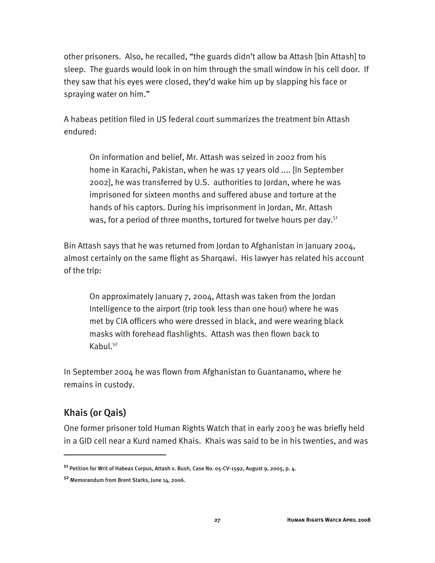other prisoners. Also, he recalled, "the guards didn't allow ba Attash [bin Attash] to sleep. The guards would look in on him through the small window in his cell door. If they saw that his eyes were closed, they'd wake him up by slapping his face or spraying water on him."

A habeas petition filed in US federal court summarizes the treatment bin Attash endured:

On information and belief, Mr. Attash was seized in 2002 from his home in Karachi, Pakistan, when he was 17 years old .... [In September 2002], he was transferred by U.S. authorities to Jordan, where he was imprisoned for sixteen months and suffered abuse and torture at the hands of his captors. During his imprisonment in Jordan, Mr. Attash was, for a period of three months, tortured for twelve hours per day. $51$ 

Bin Attash says that he was returned from Jordan to Afghanistan in January 2004, almost certainly on the same flight as Sharqawi. His lawyer has related his account of the trip:

On approximately January 7, 2004, Attash was taken from the Jordan Intelligence to the airport (trip took less than one hour) where he was met by CIA officers who were dressed in black, and were wearing black masks with forehead flashlights. Attash was then flown back to Kabul.<sup>52</sup>

In September 2004 he was flown from Afghanistan to Guantanamo, where he remains in custody.

## Khais (or Qais)

I

One former prisoner told Human Rights Watch that in early 2003 he was briefly held in a GID cell near a Kurd named Khais. Khais was said to be in his twenties, and was

**<sup>51</sup>** Petition for Writ of Habeas Corpus, Attash v. Bush, Case No. 05-CV-1592, August 9, 2005, p. 4.

**<sup>52</sup>** Memorandum from Brent Starks, June 14, 2006.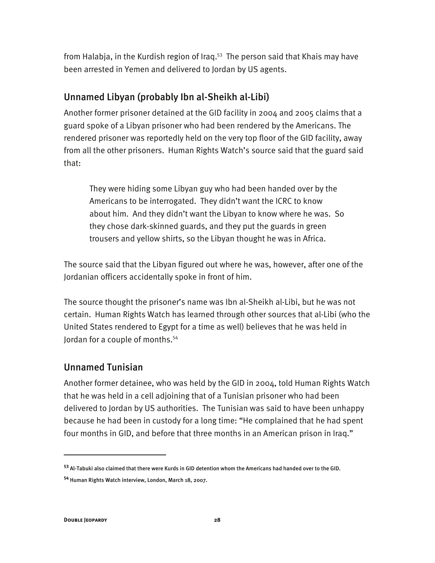from Halabja, in the Kurdish region of Iraq.<sup>53</sup> The person said that Khais may have been arrested in Yemen and delivered to Jordan by US agents.

## Unnamed Libyan (probably Ibn al-Sheikh al-Libi)

Another former prisoner detained at the GID facility in 2004 and 2005 claims that a guard spoke of a Libyan prisoner who had been rendered by the Americans. The rendered prisoner was reportedly held on the very top floor of the GID facility, away from all the other prisoners. Human Rights Watch's source said that the guard said that:

They were hiding some Libyan guy who had been handed over by the Americans to be interrogated. They didn't want the ICRC to know about him. And they didn't want the Libyan to know where he was. So they chose dark-skinned guards, and they put the guards in green trousers and yellow shirts, so the Libyan thought he was in Africa.

The source said that the Libyan figured out where he was, however, after one of the Jordanian officers accidentally spoke in front of him.

The source thought the prisoner's name was Ibn al-Sheikh al-Libi, but he was not certain. Human Rights Watch has learned through other sources that al-Libi (who the United States rendered to Egypt for a time as well) believes that he was held in Jordan for a couple of months.54

## Unnamed Tunisian

Another former detainee, who was held by the GID in 2004, told Human Rights Watch that he was held in a cell adjoining that of a Tunisian prisoner who had been delivered to Jordan by US authorities. The Tunisian was said to have been unhappy because he had been in custody for a long time: "He complained that he had spent four months in GID, and before that three months in an American prison in Iraq."

**<sup>53</sup>** Al-Tabuki also claimed that there were Kurds in GID detention whom the Americans had handed over to the GID.

**<sup>54</sup>** Human Rights Watch interview, London, March 18, 2007.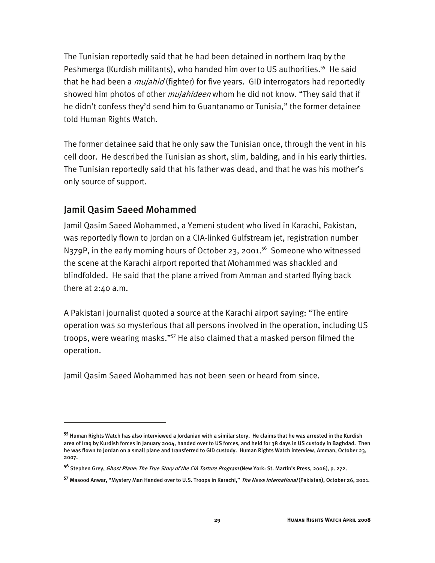The Tunisian reportedly said that he had been detained in northern Iraq by the Peshmerga (Kurdish militants), who handed him over to US authorities.55 He said that he had been a *mujahid* (fighter) for five years. GID interrogators had reportedly showed him photos of other *mujahideen* whom he did not know. "They said that if he didn't confess they'd send him to Guantanamo or Tunisia," the former detainee told Human Rights Watch.

The former detainee said that he only saw the Tunisian once, through the vent in his cell door. He described the Tunisian as short, slim, balding, and in his early thirties. The Tunisian reportedly said that his father was dead, and that he was his mother's only source of support.

## Jamil Qasim Saeed Mohammed

I

Jamil Qasim Saeed Mohammed, a Yemeni student who lived in Karachi, Pakistan, was reportedly flown to Jordan on a CIA-linked Gulfstream jet, registration number N379P, in the early morning hours of October 23, 2001.<sup>56</sup> Someone who witnessed the scene at the Karachi airport reported that Mohammed was shackled and blindfolded. He said that the plane arrived from Amman and started flying back there at 2:40 a.m.

A Pakistani journalist quoted a source at the Karachi airport saying: "The entire operation was so mysterious that all persons involved in the operation, including US troops, were wearing masks."57 He also claimed that a masked person filmed the operation.

Jamil Qasim Saeed Mohammed has not been seen or heard from since.

**<sup>55</sup>** Human Rights Watch has also interviewed a Jordanian with a similar story. He claims that he was arrested in the Kurdish area of Iraq by Kurdish forces in January 2004, handed over to US forces, and held for 38 days in US custody in Baghdad. Then he was flown to Jordan on a small plane and transferred to GID custody. Human Rights Watch interview, Amman, October 23, 2007.

**<sup>56</sup>** Stephen Grey, Ghost Plane: The True Story of the CIA Torture Program (New York: St. Martin's Press, 2006), p. 272.

**<sup>57</sup>** Masood Anwar, "Mystery Man Handed over to U.S. Troops in Karachi," The News International (Pakistan), October 26, 2001.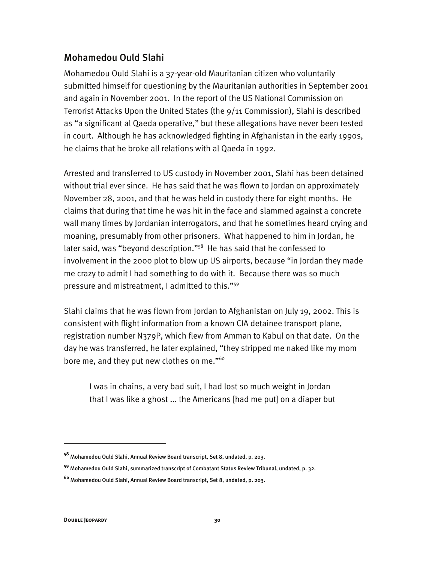## Mohamedou Ould Slahi

Mohamedou Ould Slahi is a 37-year-old Mauritanian citizen who voluntarily submitted himself for questioning by the Mauritanian authorities in September 2001 and again in November 2001. In the report of the US National Commission on Terrorist Attacks Upon the United States (the 9/11 Commission), Slahi is described as "a significant al Qaeda operative," but these allegations have never been tested in court. Although he has acknowledged fighting in Afghanistan in the early 1990s, he claims that he broke all relations with al Qaeda in 1992.

Arrested and transferred to US custody in November 2001, Slahi has been detained without trial ever since. He has said that he was flown to Jordan on approximately November 28, 2001, and that he was held in custody there for eight months. He claims that during that time he was hit in the face and slammed against a concrete wall many times by Jordanian interrogators, and that he sometimes heard crying and moaning, presumably from other prisoners. What happened to him in Jordan, he later said, was "beyond description."<sup>58</sup> He has said that he confessed to involvement in the 2000 plot to blow up US airports, because "in Jordan they made me crazy to admit I had something to do with it. Because there was so much pressure and mistreatment, I admitted to this."59

Slahi claims that he was flown from Jordan to Afghanistan on July 19, 2002. This is consistent with flight information from a known CIA detainee transport plane, registration number N379P, which flew from Amman to Kabul on that date. On the day he was transferred, he later explained, "they stripped me naked like my mom bore me, and they put new clothes on me."<sup>60</sup>

I was in chains, a very bad suit, I had lost so much weight in Jordan that I was like a ghost ... the Americans [had me put] on a diaper but

**<sup>58</sup>** Mohamedou Ould Slahi, Annual Review Board transcript, Set 8, undated, p. 203.

**<sup>59</sup>** Mohamedou Ould Slahi, summarized transcript of Combatant Status Review Tribunal, undated, p. 32.

**<sup>60</sup>** Mohamedou Ould Slahi, Annual Review Board transcript, Set 8, undated, p. 203.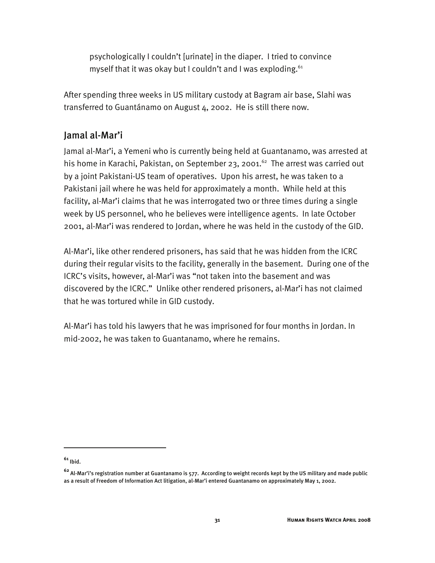psychologically I couldn't [urinate] in the diaper. I tried to convince myself that it was okay but I couldn't and I was exploding.  $61$ 

After spending three weeks in US military custody at Bagram air base, Slahi was transferred to Guantánamo on August 4, 2002. He is still there now.

## Jamal al-Mar'i

Jamal al-Mar'i, a Yemeni who is currently being held at Guantanamo, was arrested at his home in Karachi, Pakistan, on September 23, 2001.<sup>62</sup> The arrest was carried out by a joint Pakistani-US team of operatives. Upon his arrest, he was taken to a Pakistani jail where he was held for approximately a month. While held at this facility, al-Mar'i claims that he was interrogated two or three times during a single week by US personnel, who he believes were intelligence agents. In late October 2001, al-Mar'i was rendered to Jordan, where he was held in the custody of the GID.

Al-Mar'i, like other rendered prisoners, has said that he was hidden from the ICRC during their regular visits to the facility, generally in the basement. During one of the ICRC's visits, however, al-Mar'i was "not taken into the basement and was discovered by the ICRC." Unlike other rendered prisoners, al-Mar'i has not claimed that he was tortured while in GID custody.

Al-Mar'i has told his lawyers that he was imprisoned for four months in Jordan. In mid-2002, he was taken to Guantanamo, where he remains.

**<sup>61</sup>** Ibid.

**<sup>62</sup>** Al-Mar'i's registration number at Guantanamo is 577. According to weight records kept by the US military and made public as a result of Freedom of Information Act litigation, al-Mar'i entered Guantanamo on approximately May 1, 2002.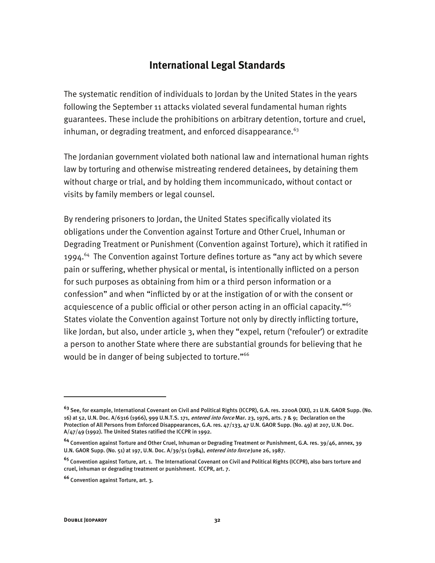## **International Legal Standards**

The systematic rendition of individuals to Jordan by the United States in the years following the September 11 attacks violated several fundamental human rights guarantees. These include the prohibitions on arbitrary detention, torture and cruel, inhuman, or degrading treatment, and enforced disappearance. $63$ 

The Jordanian government violated both national law and international human rights law by torturing and otherwise mistreating rendered detainees, by detaining them without charge or trial, and by holding them incommunicado, without contact or visits by family members or legal counsel.

By rendering prisoners to Jordan, the United States specifically violated its obligations under the Convention against Torture and Other Cruel, Inhuman or Degrading Treatment or Punishment (Convention against Torture), which it ratified in  $1994.<sup>64</sup>$  The Convention against Torture defines torture as "any act by which severe pain or suffering, whether physical or mental, is intentionally inflicted on a person for such purposes as obtaining from him or a third person information or a confession" and when "inflicted by or at the instigation of or with the consent or acquiescence of a public official or other person acting in an official capacity."<sup>65</sup> States violate the Convention against Torture not only by directly inflicting torture, like Jordan, but also, under article 3, when they "expel, return ('refouler') or extradite a person to another State where there are substantial grounds for believing that he would be in danger of being subjected to torture."<sup>66</sup>

**<sup>63</sup>** See, for example, International Covenant on Civil and Political Rights (ICCPR), G.A. res. 2200A (XXI), 21 U.N. GAOR Supp. (No. 16) at 52, U.N. Doc. A/6316 (1966), 999 U.N.T.S. 171, entered into force Mar. 23, 1976, arts. 7 & 9; Declaration on the Protection of All Persons from Enforced Disappearances, G.A. res. 47/133, 47 U.N. GAOR Supp. (No. 49) at 207, U.N. Doc. A/47/49 (1992). The United States ratified the ICCPR in 1992.

**<sup>64</sup>** Convention against Torture and Other Cruel, Inhuman or Degrading Treatment or Punishment, G.A. res. 39/46, annex, 39 U.N. GAOR Supp. (No. 51) at 197, U.N. Doc. A/39/51 (1984), entered into force June 26, 1987.

**<sup>65</sup>** Convention against Torture, art. 1. The International Covenant on Civil and Political Rights (ICCPR), also bars torture and cruel, inhuman or degrading treatment or punishment. ICCPR, art. 7.

**<sup>66</sup>** Convention against Torture, art. 3.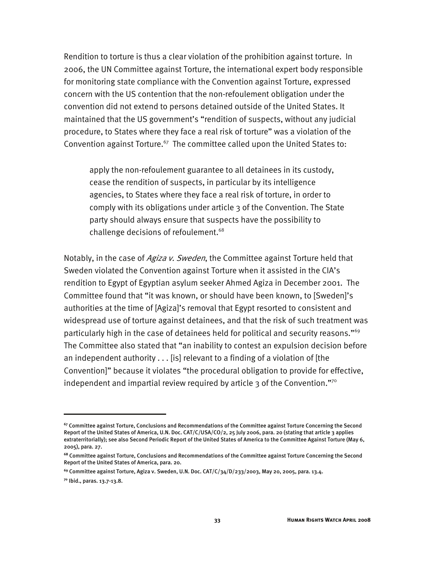Rendition to torture is thus a clear violation of the prohibition against torture. In 2006, the UN Committee against Torture, the international expert body responsible for monitoring state compliance with the Convention against Torture, expressed concern with the US contention that the non-refoulement obligation under the convention did not extend to persons detained outside of the United States. It maintained that the US government's "rendition of suspects, without any judicial procedure, to States where they face a real risk of torture" was a violation of the Convention against Torture.<sup>67</sup> The committee called upon the United States to:

apply the non-refoulement guarantee to all detainees in its custody, cease the rendition of suspects, in particular by its intelligence agencies, to States where they face a real risk of torture, in order to comply with its obligations under article 3 of the Convention. The State party should always ensure that suspects have the possibility to challenge decisions of refoulement.<sup>68</sup>

Notably, in the case of Agiza v. Sweden, the Committee against Torture held that Sweden violated the Convention against Torture when it assisted in the CIA's rendition to Egypt of Egyptian asylum seeker Ahmed Agiza in December 2001. The Committee found that "it was known, or should have been known, to [Sweden]'s authorities at the time of [Agiza]'s removal that Egypt resorted to consistent and widespread use of torture against detainees, and that the risk of such treatment was particularly high in the case of detainees held for political and security reasons."<sup>69</sup> The Committee also stated that "an inability to contest an expulsion decision before an independent authority . . . [is] relevant to a finding of a violation of [the Convention]" because it violates "the procedural obligation to provide for effective, independent and impartial review required by article  $3$  of the Convention."<sup>70</sup>

j

**<sup>67</sup>** Committee against Torture, Conclusions and Recommendations of the Committee against Torture Concerning the Second Report of the United States of America, U.N. Doc. CAT/C/USA/CO/2, 25 July 2006, para. 20 (stating that article 3 applies extraterritorially); see also Second Periodic Report of the United States of America to the Committee Against Torture (May 6, 2005), para. 27.

**<sup>68</sup>** Committee against Torture, Conclusions and Recommendations of the Committee against Torture Concerning the Second Report of the United States of America, para. 20.

**<sup>69</sup>** Committee against Torture, Agiza v. Sweden, U.N. Doc. CAT/C/34/D/233/2003, May 20, 2005, para. 13.4.

**<sup>70</sup>** Ibid., paras. 13.7-13.8.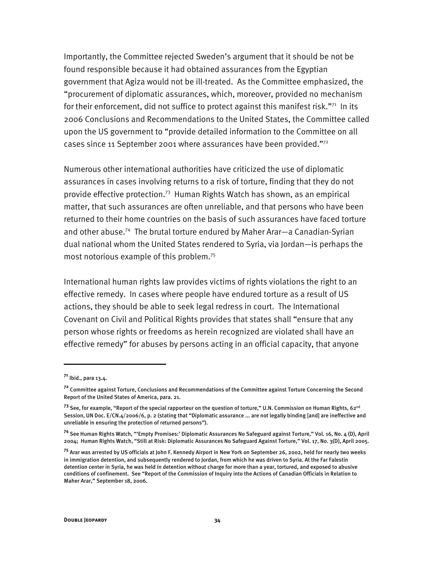Importantly, the Committee rejected Sweden's argument that it should be not be found responsible because it had obtained assurances from the Egyptian government that Agiza would not be ill-treated. As the Committee emphasized, the "procurement of diplomatic assurances, which, moreover, provided no mechanism for their enforcement, did not suffice to protect against this manifest risk."71 In its 2006 Conclusions and Recommendations to the United States, the Committee called upon the US government to "provide detailed information to the Committee on all cases since 11 September 2001 where assurances have been provided."72

Numerous other international authorities have criticized the use of diplomatic assurances in cases involving returns to a risk of torture, finding that they do not provide effective protection.73 Human Rights Watch has shown, as an empirical matter, that such assurances are often unreliable, and that persons who have been returned to their home countries on the basis of such assurances have faced torture and other abuse.<sup>74</sup> The brutal torture endured by Maher Arar-a Canadian-Syrian dual national whom the United States rendered to Syria, via Jordan—is perhaps the most notorious example of this problem.75

International human rights law provides victims of rights violations the right to an effective remedy. In cases where people have endured torture as a result of US actions, they should be able to seek legal redress in court. The International Covenant on Civil and Political Rights provides that states shall "ensure that any person whose rights or freedoms as herein recognized are violated shall have an effective remedy" for abuses by persons acting in an official capacity, that anyone

-

**<sup>71</sup>** Ibid., para 13.4.

**<sup>72</sup>** Committee against Torture, Conclusions and Recommendations of the Committee against Torture Concerning the Second Report of the United States of America, para. 21.

**<sup>73</sup>** See, for example, "Report of the special rapporteur on the question of torture," U.N. Commission on Human Rights, 62nd Session, UN Doc. E/CN.4/2006/6, p. 2 (stating that "Diplomatic assurance ... are not legally binding [and] are ineffective and unreliable in ensuring the protection of returned persons").

**<sup>74</sup>** See Human Rights Watch, "'Empty Promises:' Diplomatic Assurances No Safeguard against Torture," Vol. 16, No. 4 (D), April 2004; Human Rights Watch, "Still at Risk: Diplomatic Assurances No Safeguard Against Torture," Vol. 17, No. 3(D), April 2005.

**<sup>75</sup>** Arar was arrested by US officials at John F. Kennedy Airport in New York on September 26, 2002, held for nearly two weeks in immigration detention, and subsequently rendered to Jordan, from which he was driven to Syria. At the Far Falestin detention center in Syria, he was held in detention without charge for more than a year, tortured, and exposed to abusive conditions of confinement. See "Report of the Commission of Inquiry into the Actions of Canadian Officials in Relation to Maher Arar," September 18, 2006.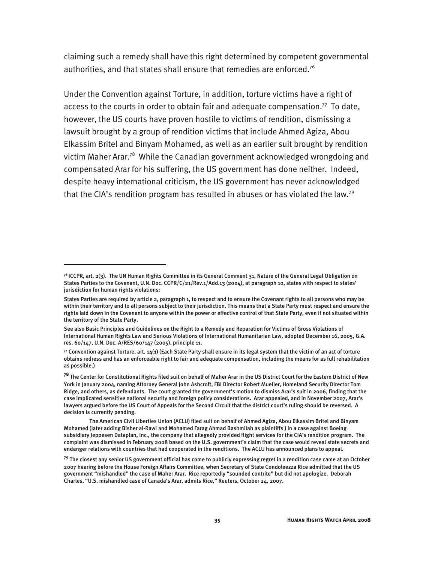claiming such a remedy shall have this right determined by competent governmental authorities, and that states shall ensure that remedies are enforced.<sup>76</sup>

Under the Convention against Torture, in addition, torture victims have a right of access to the courts in order to obtain fair and adequate compensation.<sup>77</sup> To date, however, the US courts have proven hostile to victims of rendition, dismissing a lawsuit brought by a group of rendition victims that include Ahmed Agiza, Abou Elkassim Britel and Binyam Mohamed, as well as an earlier suit brought by rendition victim Maher Arar.78 While the Canadian government acknowledged wrongdoing and compensated Arar for his suffering, the US government has done neither. Indeed, despite heavy international criticism, the US government has never acknowledged that the CIA's rendition program has resulted in abuses or has violated the law.79

-

**<sup>76</sup>**ICCPR, art. 2(3). The UN Human Rights Committee in its General Comment 31, Nature of the General Legal Obligation on States Parties to the Covenant, U.N. Doc. CCPR/C/21/Rev.1/Add.13 (2004), at paragraph 10, states with respect to states' jurisdiction for human rights violations:

States Parties are required by article 2, paragraph 1, to respect and to ensure the Covenant rights to all persons who may be within their territory and to all persons subject to their jurisdiction. This means that a State Party must respect and ensure the rights laid down in the Covenant to anyone within the power or effective control of that State Party, even if not situated within the territory of the State Party.

See also Basic Principles and Guidelines on the Right to a Remedy and Reparation for Victims of Gross Violations of International Human Rights Law and Serious Violations of International Humanitarian Law, adopted December 16, 2005, G.A. res. 60/147, U.N. Doc. A/RES/60/147 (2005), principle 11.

**<sup>77</sup>** Convention against Torture, art. 14(1) (Each State Party shall ensure in its legal system that the victim of an act of torture obtains redress and has an enforceable right to fair and adequate compensation, including the means for as full rehabilitation as possible.)

**<sup>78</sup>** The Center for Constitutional Rights filed suit on behalf of Maher Arar in the US District Court for the Eastern District of New York in January 2004, naming Attorney General John Ashcroft, FBI Director Robert Mueller, Homeland Security Director Tom Ridge, and others, as defendants. The court granted the government's motion to dismiss Arar's suit in 2006, finding that the case implicated sensitive national security and foreign policy considerations. Arar appealed, and in November 2007, Arar's lawyers argued before the US Court of Appeals for the Second Circuit that the district court's ruling should be reversed. A decision is currently pending.

The American Civil Liberties Union (ACLU) filed suit on behalf of Ahmed Agiza, Abou Elkassim Britel and Binyam Mohamed (later adding Bisher al-Rawi and Mohamed Farag Ahmad Bashmilah as plaintiffs ) in a case against Boeing subsidiary Jeppesen Dataplan, Inc., the company that allegedly provided flight services for the CIA's rendition program. The complaint was dismissed in February 2008 based on the U.S. government's claim that the case would reveal state secrets and endanger relations with countries that had cooperated in the renditions. The ACLU has announced plans to appeal.

**<sup>79</sup>** The closest any senior US government official has come to publicly expressing regret in a rendition case came at an October 2007 hearing before the House Foreign Affairs Committee, when Secretary of State Condoleezza Rice admitted that the US government "mishandled" the case of Maher Arar. Rice reportedly "sounded contrite" but did not apologize. Deborah Charles, "U.S. mishandled case of Canada's Arar, admits Rice," Reuters, October 24, 2007.